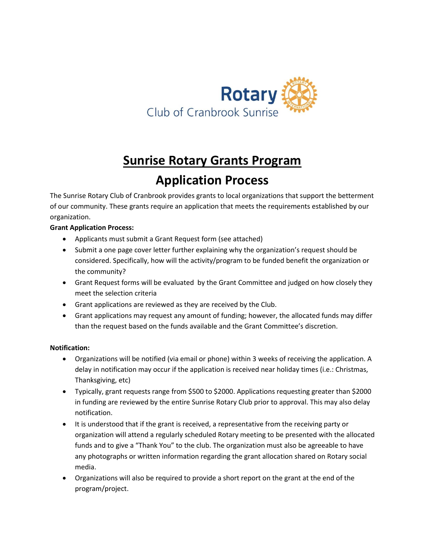

## **Sunrise Rotary Grants Program Application Process**

The Sunrise Rotary Club of Cranbrook provides grants to local organizations that support the betterment of our community. These grants require an application that meets the requirements established by our organization.

#### **Grant Application Process:**

- Applicants must submit a Grant Request form (see attached)
- Submit a one page cover letter further explaining why the organization's request should be considered. Specifically, how will the activity/program to be funded benefit the organization or the community?
- Grant Request forms will be evaluated by the Grant Committee and judged on how closely they meet the selection criteria
- Grant applications are reviewed as they are received by the Club.
- Grant applications may request any amount of funding; however, the allocated funds may differ than the request based on the funds available and the Grant Committee's discretion.

#### **Notification:**

- Organizations will be notified (via email or phone) within 3 weeks of receiving the application. A delay in notification may occur if the application is received near holiday times (i.e.: Christmas, Thanksgiving, etc)
- Typically, grant requests range from \$500 to \$2000. Applications requesting greater than \$2000 in funding are reviewed by the entire Sunrise Rotary Club prior to approval. This may also delay notification.
- It is understood that if the grant is received, a representative from the receiving party or organization will attend a regularly scheduled Rotary meeting to be presented with the allocated funds and to give a "Thank You" to the club. The organization must also be agreeable to have any photographs or written information regarding the grant allocation shared on Rotary social media.
- Organizations will also be required to provide a short report on the grant at the end of the program/project.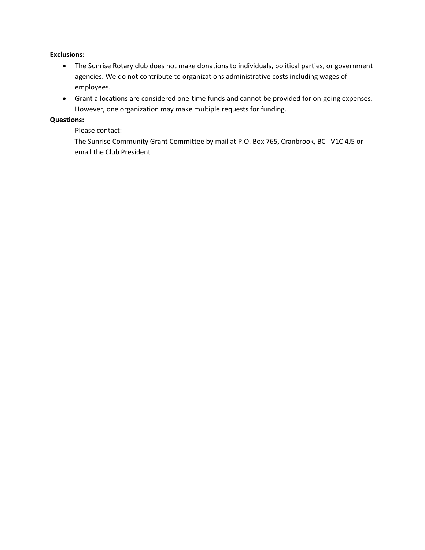#### **Exclusions:**

- The Sunrise Rotary club does not make donations to individuals, political parties, or government agencies. We do not contribute to organizations administrative costs including wages of employees.
- Grant allocations are considered one-time funds and cannot be provided for on-going expenses. However, one organization may make multiple requests for funding.

#### **Questions:**

Please contact:

The Sunrise Community Grant Committee by mail at P.O. Box 765, Cranbrook, BC V1C 4J5 or email the Club President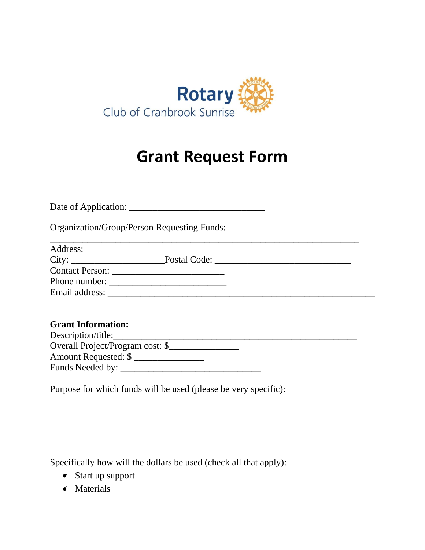

# **Grant Request Form**

Date of Application: \_\_\_\_\_\_\_\_\_\_\_\_\_\_\_\_\_\_\_\_\_\_\_\_\_\_\_\_\_

Organization/Group/Person Requesting Funds:

| Address:        |              |  |
|-----------------|--------------|--|
| City:           | Postal Code: |  |
| Contact Person: |              |  |
| Phone number:   |              |  |
| Email address:  |              |  |

\_\_\_\_\_\_\_\_\_\_\_\_\_\_\_\_\_\_\_\_\_\_\_\_\_\_\_\_\_\_\_\_\_\_\_\_\_\_\_\_\_\_\_\_\_\_\_\_\_\_\_\_\_\_\_\_\_\_\_\_\_\_\_\_\_\_

### **Grant Information:**

| Description/title:               |  |
|----------------------------------|--|
| Overall Project/Program cost: \$ |  |
| Amount Requested: \$             |  |
| Funds Needed by:                 |  |
|                                  |  |

Purpose for which funds will be used (please be very specific):

Specifically how will the dollars be used (check all that apply):

- Start up support
- Materials ✔